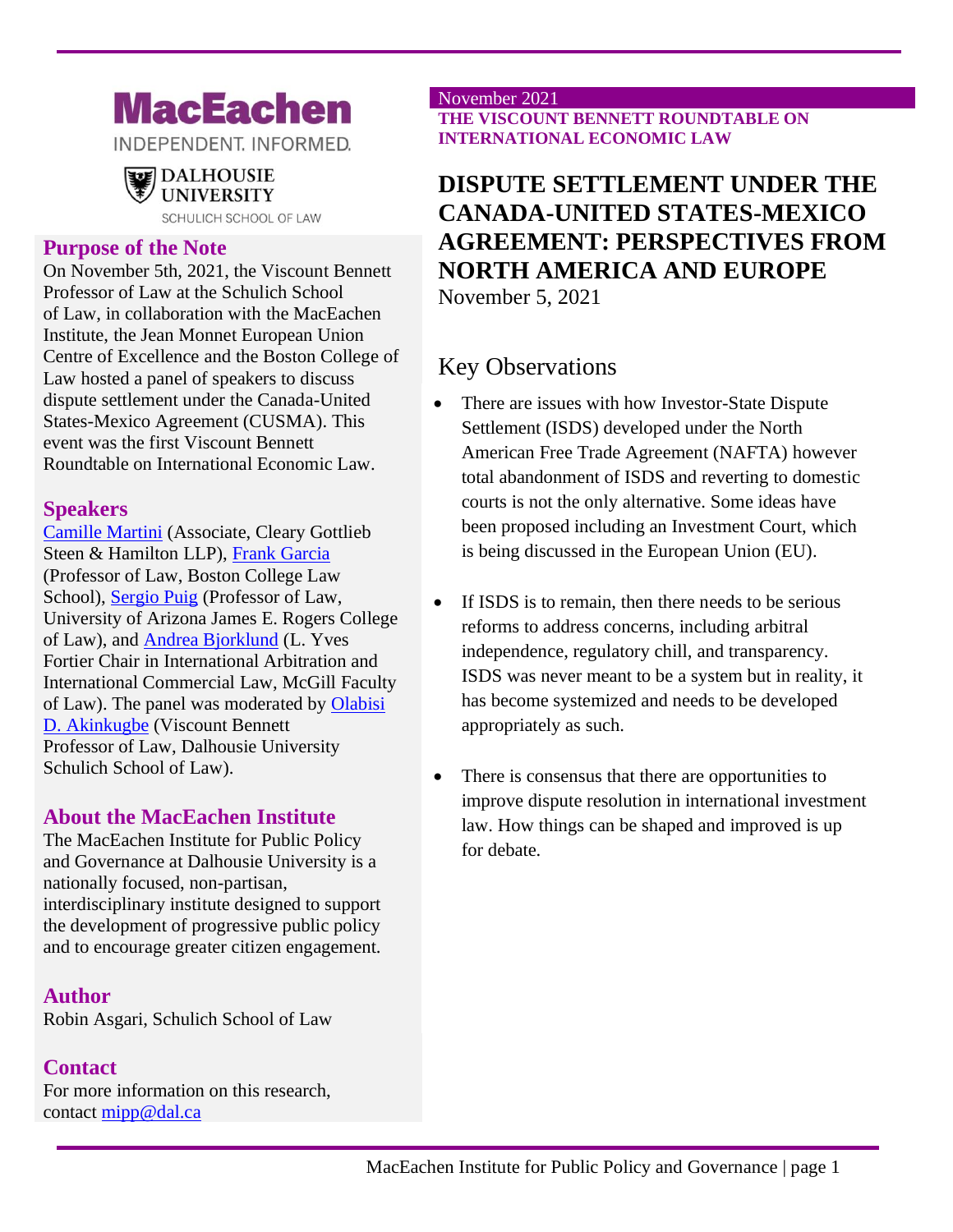# **MacEachen**

INDEPENDENT. INFORMED.

# **DALHOUSIE** UNIVERSITY

SCHULICH SCHOOL OF LAW

#### **Purpose of the Note**

On November 5th, 2021, the Viscount Bennett Professor of Law at the Schulich School of Law, in collaboration with the MacEachen Institute, the Jean Monnet European Union Centre of Excellence and the Boston College of Law hosted a panel of speakers to discuss dispute settlement under the Canada-United States-Mexico Agreement (CUSMA). This event was the first Viscount Bennett Roundtable on International Economic Law.

### **Speakers**

[Camille Martini](https://www.linkedin.com/in/camille-martini-9363925a/) (Associate, Cleary Gottlieb Steen & Hamilton LLP), [Frank Garcia](https://www.bc.edu/bc-web/schools/law/academics-faculty/faculty-directory/frank-garcia.html) (Professor of Law, Boston College Law School), [Sergio Puig](https://law.arizona.edu/sergio-puig) (Professor of Law, University of Arizona James E. Rogers College of Law), and [Andrea Bjorklund](https://www.mcgill.ca/law/about/profs/bjorklund-andrea) (L. Yves Fortier Chair in International Arbitration and International Commercial Law, McGill Faculty of Law). The panel was moderated by [Olabisi](https://www.dal.ca/faculty/law/faculty-staff/our-faculty/olabisi-akinkugbe.html)  [D. Akinkugbe](https://www.dal.ca/faculty/law/faculty-staff/our-faculty/olabisi-akinkugbe.html) (Viscount Bennett Professor of Law, Dalhousie University Schulich School of Law).

### **About the MacEachen Institute**

The MacEachen Institute for Public Policy and Governance at Dalhousie University is a nationally focused, non-partisan, interdisciplinary institute designed to support the development of progressive public policy and to encourage greater citizen engagement.

### **Author**

Robin Asgari, Schulich School of Law

### **Contact**

For more information on this research, contact [mipp@dal.ca](mailto:mipp@dal.ca)

#### November 2021 **THE VISCOUNT BENNETT ROUNDTABLE ON INTERNATIONAL ECONOMIC LAW**

# **DISPUTE SETTLEMENT UNDER THE CANADA-UNITED STATES-MEXICO AGREEMENT: PERSPECTIVES FROM NORTH AMERICA AND EUROPE** November 5, 2021

Key Observations

- There are issues with how Investor-State Dispute Settlement (ISDS) developed under the North American Free Trade Agreement (NAFTA) however total abandonment of ISDS and reverting to domestic courts is not the only alternative. Some ideas have been proposed including an Investment Court, which is being discussed in the European Union (EU).
- If ISDS is to remain, then there needs to be serious reforms to address concerns, including arbitral independence, regulatory chill, and transparency. ISDS was never meant to be a system but in reality, it has become systemized and needs to be developed appropriately as such.
- There is consensus that there are opportunities to improve dispute resolution in international investment law. How things can be shaped and improved is up for debate.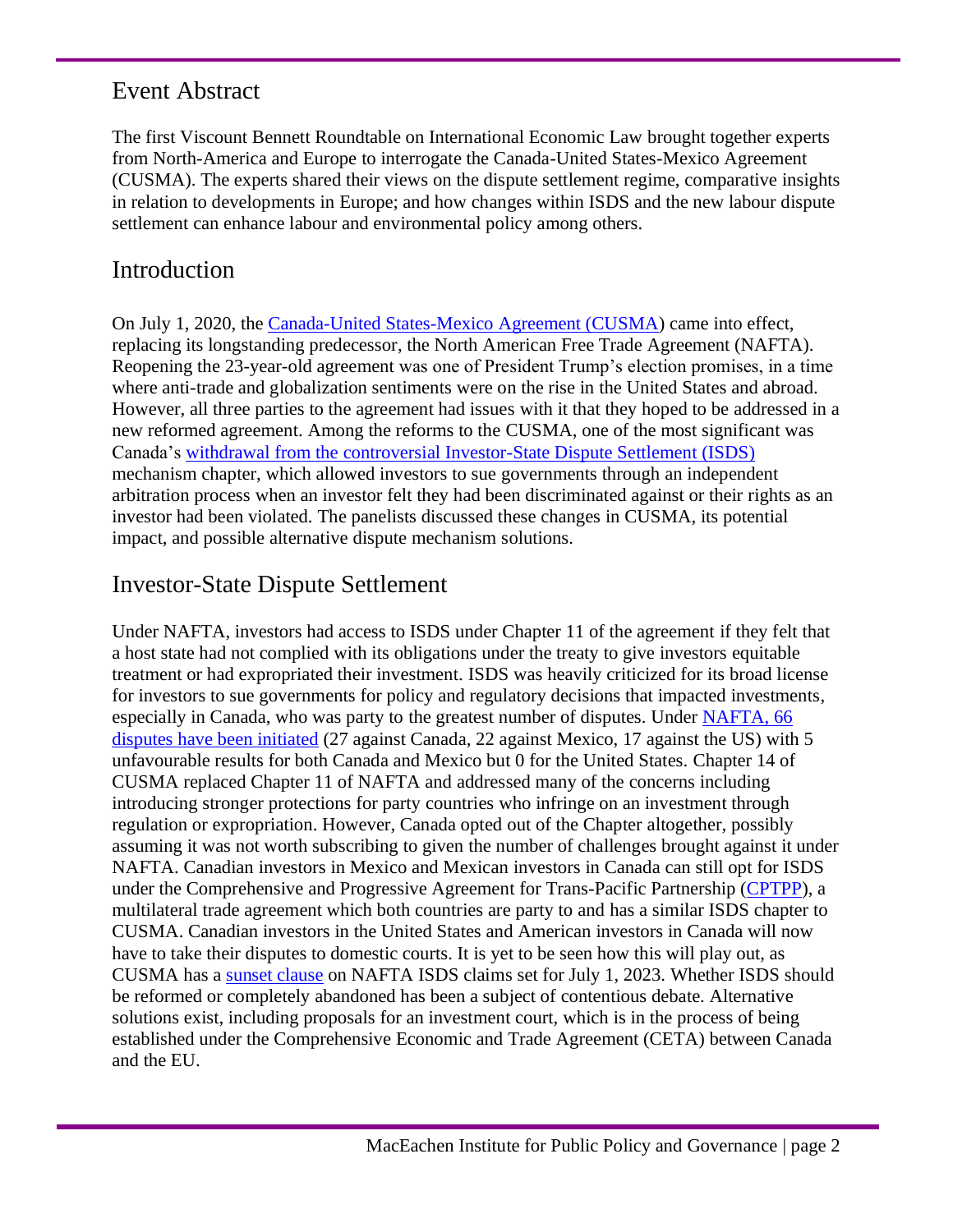# Event Abstract

The first Viscount Bennett Roundtable on International Economic Law brought together experts from North-America and Europe to interrogate the Canada-United States-Mexico Agreement (CUSMA). The experts shared their views on the dispute settlement regime, comparative insights in relation to developments in Europe; and how changes within ISDS and the new labour dispute settlement can enhance labour and environmental policy among others.

# Introduction

On July 1, 2020, the [Canada-United States-Mexico Agreement \(CUSMA\)](https://www.international.gc.ca/trade-commerce/trade-agreements-accords-commerciaux/agr-acc/cusma-aceum/index.aspx?lang=eng) came into effect, replacing its longstanding predecessor, the North American Free Trade Agreement (NAFTA). Reopening the 23-year-old agreement was one of President Trump's election promises, in a time where anti-trade and globalization sentiments were on the rise in the United States and abroad. However, all three parties to the agreement had issues with it that they hoped to be addressed in a new reformed agreement. Among the reforms to the CUSMA, one of the most significant was Canada's [withdrawal from the controversial Investor-State Dispute Settlement \(ISDS\)](http://arbitrationblog.kluwerarbitration.com/2020/06/22/the-usmca-cusma-t-mecs-entry-into-force-introducing-a-new-era-in-regional-isds-with-nafta-2-0/) mechanism chapter, which allowed investors to sue governments through an independent arbitration process when an investor felt they had been discriminated against or their rights as an investor had been violated. The panelists discussed these changes in CUSMA, its potential impact, and possible alternative dispute mechanism solutions.

# Investor-State Dispute Settlement

Under NAFTA, investors had access to ISDS under Chapter 11 of the agreement if they felt that a host state had not complied with its obligations under the treaty to give investors equitable treatment or had expropriated their investment. ISDS was heavily criticized for its broad license for investors to sue governments for policy and regulatory decisions that impacted investments, especially in Canada, who was party to the greatest number of disputes. Under [NAFTA, 66](https://www.usitc.gov/publications/332/pub4889.pdf)  [disputes have been initiated](https://www.usitc.gov/publications/332/pub4889.pdf) (27 against Canada, 22 against Mexico, 17 against the US) with 5 unfavourable results for both Canada and Mexico but 0 for the United States. Chapter 14 of CUSMA replaced Chapter 11 of NAFTA and addressed many of the concerns including introducing stronger protections for party countries who infringe on an investment through regulation or expropriation. However, Canada opted out of the Chapter altogether, possibly assuming it was not worth subscribing to given the number of challenges brought against it under NAFTA. Canadian investors in Mexico and Mexican investors in Canada can still opt for ISDS under the Comprehensive and Progressive Agreement for Trans-Pacific Partnership [\(CPTPP\)](https://www.international.gc.ca/trade-commerce/trade-agreements-accords-commerciaux/agr-acc/cptpp-ptpgp/index.aspx?lang=eng), a multilateral trade agreement which both countries are party to and has a similar ISDS chapter to CUSMA. Canadian investors in the United States and American investors in Canada will now have to take their disputes to domestic courts. It is yet to be seen how this will play out, as CUSMA has a [sunset clause](https://www.nortonrosefulbright.com/en/knowledge/publications/91d41adf/major-changes-for-investor-state-dispute-settlement-in-new-united-states-mexico-canada-agreement) on NAFTA ISDS claims set for July 1, 2023. Whether ISDS should be reformed or completely abandoned has been a subject of contentious debate. Alternative solutions exist, including proposals for an investment court, which is in the process of being established under the Comprehensive Economic and Trade Agreement (CETA) between Canada and the EU.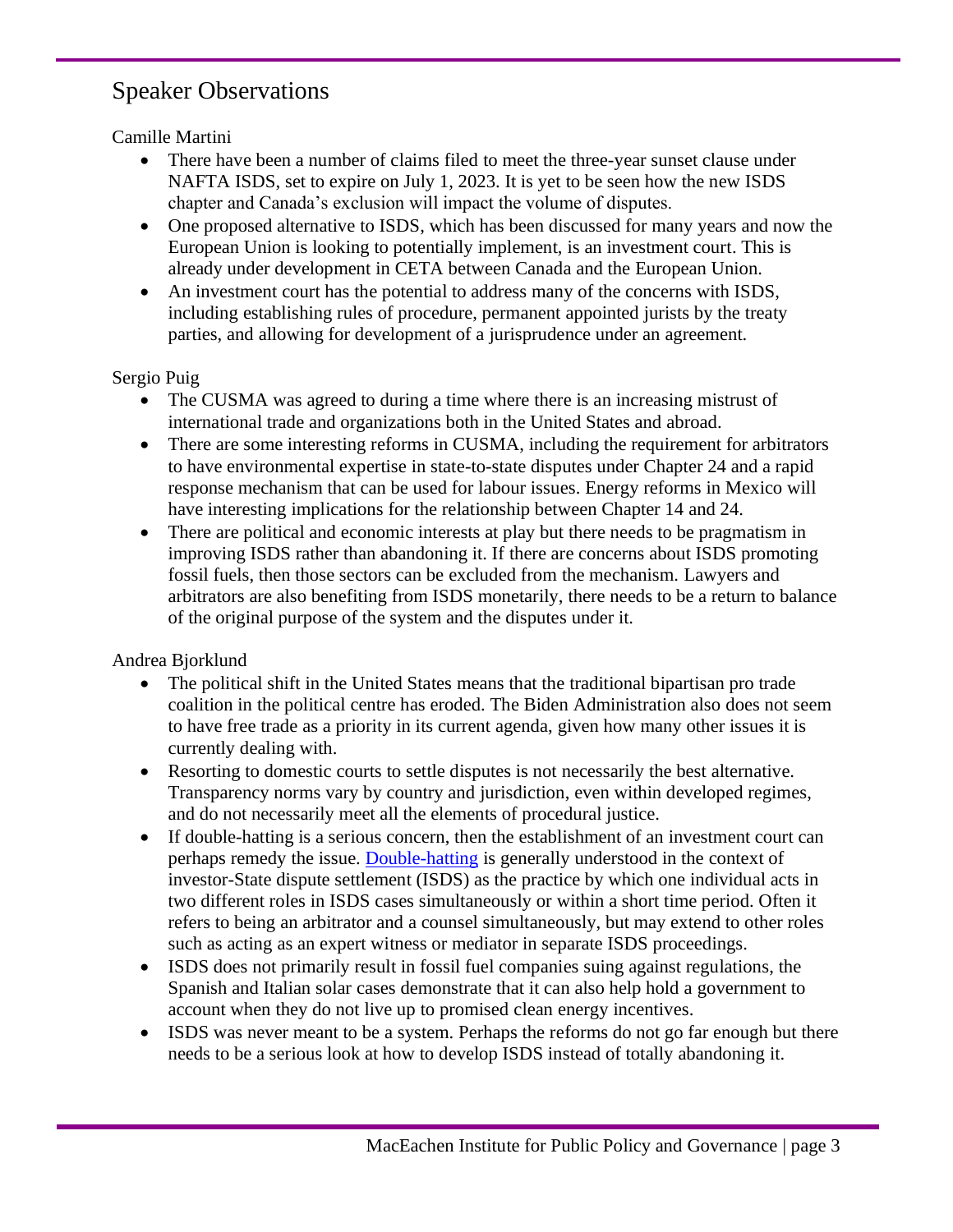# Speaker Observations

Camille Martini

- There have been a number of claims filed to meet the three-year sunset clause under NAFTA ISDS, set to expire on July 1, 2023. It is yet to be seen how the new ISDS chapter and Canada's exclusion will impact the volume of disputes.
- One proposed alternative to ISDS, which has been discussed for many years and now the European Union is looking to potentially implement, is an investment court. This is already under development in CETA between Canada and the European Union.
- An investment court has the potential to address many of the concerns with ISDS, including establishing rules of procedure, permanent appointed jurists by the treaty parties, and allowing for development of a jurisprudence under an agreement.

Sergio Puig

- The CUSMA was agreed to during a time where there is an increasing mistrust of international trade and organizations both in the United States and abroad.
- There are some interesting reforms in CUSMA, including the requirement for arbitrators to have environmental expertise in state-to-state disputes under Chapter 24 and a rapid response mechanism that can be used for labour issues. Energy reforms in Mexico will have interesting implications for the relationship between Chapter 14 and 24.
- There are political and economic interests at play but there needs to be pragmatism in improving ISDS rather than abandoning it. If there are concerns about ISDS promoting fossil fuels, then those sectors can be excluded from the mechanism. Lawyers and arbitrators are also benefiting from ISDS monetarily, there needs to be a return to balance of the original purpose of the system and the disputes under it.

Andrea Bjorklund

- The political shift in the United States means that the traditional bipartisan pro trade coalition in the political centre has eroded. The Biden Administration also does not seem to have free trade as a priority in its current agenda, given how many other issues it is currently dealing with.
- Resorting to domestic courts to settle disputes is not necessarily the best alternative. Transparency norms vary by country and jurisdiction, even within developed regimes, and do not necessarily meet all the elements of procedural justice.
- If double-hatting is a serious concern, then the establishment of an investment court can perhaps remedy the issue. [Double-hatting](https://icsid.worldbank.org/sites/default/files/Background_Papers_Double-Hatting_(final)_2021.02.25.pdf) is generally understood in the context of investor-State dispute settlement (ISDS) as the practice by which one individual acts in two different roles in ISDS cases simultaneously or within a short time period. Often it refers to being an arbitrator and a counsel simultaneously, but may extend to other roles such as acting as an expert witness or mediator in separate ISDS proceedings.
- ISDS does not primarily result in fossil fuel companies suing against regulations, the Spanish and Italian solar cases demonstrate that it can also help hold a government to account when they do not live up to promised clean energy incentives.
- ISDS was never meant to be a system. Perhaps the reforms do not go far enough but there needs to be a serious look at how to develop ISDS instead of totally abandoning it.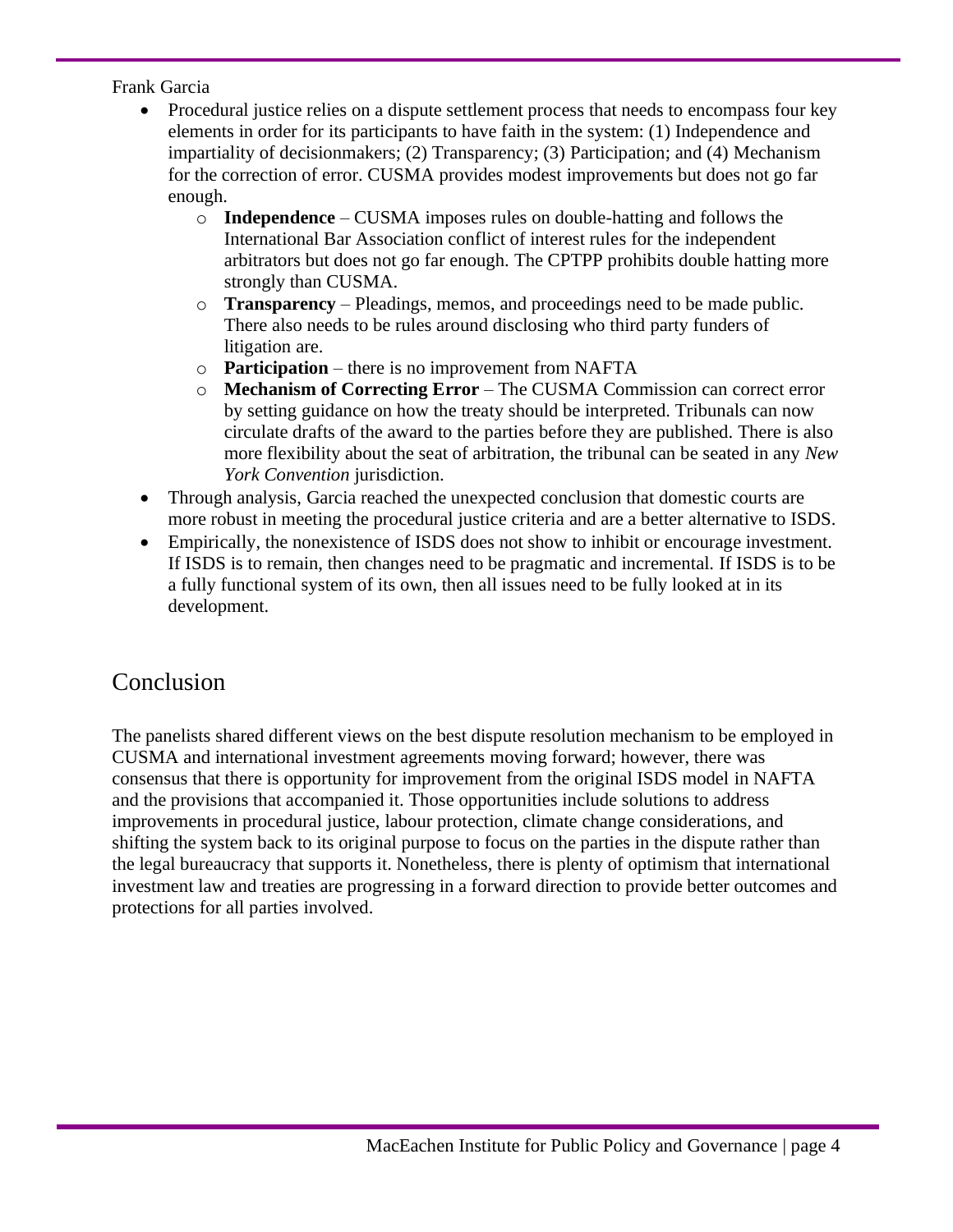Frank Garcia

- Procedural justice relies on a dispute settlement process that needs to encompass four key elements in order for its participants to have faith in the system: (1) Independence and impartiality of decisionmakers; (2) Transparency; (3) Participation; and (4) Mechanism for the correction of error. CUSMA provides modest improvements but does not go far enough.
	- o **Independence** CUSMA imposes rules on double-hatting and follows the International Bar Association conflict of interest rules for the independent arbitrators but does not go far enough. The CPTPP prohibits double hatting more strongly than CUSMA.
	- o **Transparency** Pleadings, memos, and proceedings need to be made public. There also needs to be rules around disclosing who third party funders of litigation are.
	- o **Participation** there is no improvement from NAFTA
	- o **Mechanism of Correcting Error** The CUSMA Commission can correct error by setting guidance on how the treaty should be interpreted. Tribunals can now circulate drafts of the award to the parties before they are published. There is also more flexibility about the seat of arbitration, the tribunal can be seated in any *New York Convention* jurisdiction.
- Through analysis, Garcia reached the unexpected conclusion that domestic courts are more robust in meeting the procedural justice criteria and are a better alternative to ISDS.
- Empirically, the nonexistence of ISDS does not show to inhibit or encourage investment. If ISDS is to remain, then changes need to be pragmatic and incremental. If ISDS is to be a fully functional system of its own, then all issues need to be fully looked at in its development.

# Conclusion

The panelists shared different views on the best dispute resolution mechanism to be employed in CUSMA and international investment agreements moving forward; however, there was consensus that there is opportunity for improvement from the original ISDS model in NAFTA and the provisions that accompanied it. Those opportunities include solutions to address improvements in procedural justice, labour protection, climate change considerations, and shifting the system back to its original purpose to focus on the parties in the dispute rather than the legal bureaucracy that supports it. Nonetheless, there is plenty of optimism that international investment law and treaties are progressing in a forward direction to provide better outcomes and protections for all parties involved.